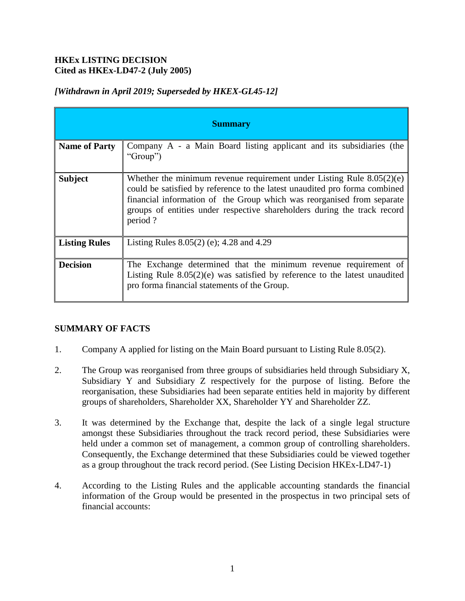# **HKEx LISTING DECISION Cited as HKEx-LD47-2 (July 2005)**

| <b>Summary</b>       |                                                                                                                                                                                                                                                                                                                        |
|----------------------|------------------------------------------------------------------------------------------------------------------------------------------------------------------------------------------------------------------------------------------------------------------------------------------------------------------------|
| <b>Name of Party</b> | Company A - a Main Board listing applicant and its subsidiaries (the<br>'Group'')                                                                                                                                                                                                                                      |
| <b>Subject</b>       | Whether the minimum revenue requirement under Listing Rule $8.05(2)(e)$<br>could be satisfied by reference to the latest unaudited pro forma combined<br>financial information of the Group which was reorganised from separate<br>groups of entities under respective shareholders during the track record<br>period? |
| <b>Listing Rules</b> | Listing Rules $8.05(2)$ (e); 4.28 and 4.29                                                                                                                                                                                                                                                                             |
| <b>Decision</b>      | The Exchange determined that the minimum revenue requirement of<br>Listing Rule $8.05(2)(e)$ was satisfied by reference to the latest unaudited<br>pro forma financial statements of the Group.                                                                                                                        |

# *[Withdrawn in April 2019; Superseded by HKEX-GL45-12]*

# **SUMMARY OF FACTS**

- 1. Company A applied for listing on the Main Board pursuant to Listing Rule 8.05(2).
- 2. The Group was reorganised from three groups of subsidiaries held through Subsidiary X, Subsidiary Y and Subsidiary Z respectively for the purpose of listing. Before the reorganisation, these Subsidiaries had been separate entities held in majority by different groups of shareholders, Shareholder XX, Shareholder YY and Shareholder ZZ.
- 3. It was determined by the Exchange that, despite the lack of a single legal structure amongst these Subsidiaries throughout the track record period, these Subsidiaries were held under a common set of management, a common group of controlling shareholders. Consequently, the Exchange determined that these Subsidiaries could be viewed together as a group throughout the track record period. (See Listing Decision HKEx-LD47-1)
- 4. According to the Listing Rules and the applicable accounting standards the financial information of the Group would be presented in the prospectus in two principal sets of financial accounts: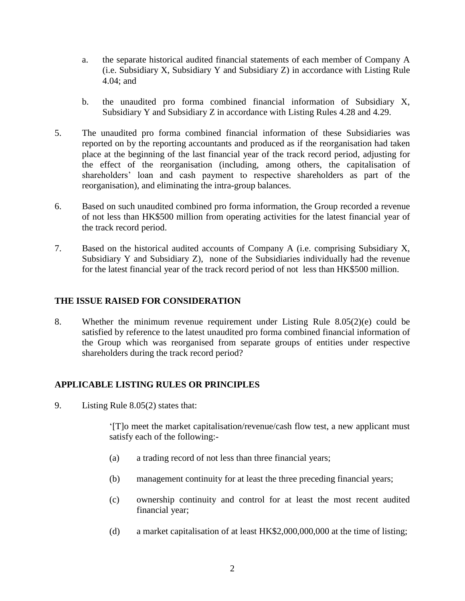- a. the separate historical audited financial statements of each member of Company A (i.e. Subsidiary X, Subsidiary Y and Subsidiary Z) in accordance with Listing Rule 4.04; and
- b. the unaudited pro forma combined financial information of Subsidiary X, Subsidiary Y and Subsidiary Z in accordance with Listing Rules 4.28 and 4.29.
- 5. The unaudited pro forma combined financial information of these Subsidiaries was reported on by the reporting accountants and produced as if the reorganisation had taken place at the beginning of the last financial year of the track record period, adjusting for the effect of the reorganisation (including, among others, the capitalisation of shareholders' loan and cash payment to respective shareholders as part of the reorganisation), and eliminating the intra-group balances.
- 6. Based on such unaudited combined pro forma information, the Group recorded a revenue of not less than HK\$500 million from operating activities for the latest financial year of the track record period.
- 7. Based on the historical audited accounts of Company A (i.e. comprising Subsidiary X, Subsidiary Y and Subsidiary Z), none of the Subsidiaries individually had the revenue for the latest financial year of the track record period of not less than HK\$500 million.

### **THE ISSUE RAISED FOR CONSIDERATION**

8. Whether the minimum revenue requirement under Listing Rule 8.05(2)(e) could be satisfied by reference to the latest unaudited pro forma combined financial information of the Group which was reorganised from separate groups of entities under respective shareholders during the track record period?

# **APPLICABLE LISTING RULES OR PRINCIPLES**

9. Listing Rule 8.05(2) states that:

'[T]o meet the market capitalisation/revenue/cash flow test, a new applicant must satisfy each of the following:-

- (a) a trading record of not less than three financial years;
- (b) management continuity for at least the three preceding financial years;
- (c) ownership continuity and control for at least the most recent audited financial year;
- (d) a market capitalisation of at least HK\$2,000,000,000 at the time of listing;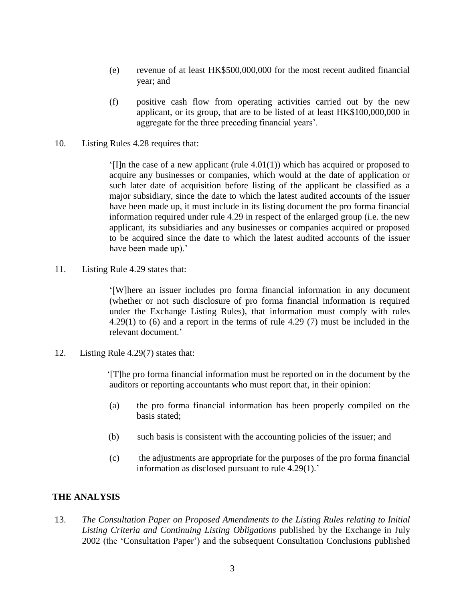- (e) revenue of at least HK\$500,000,000 for the most recent audited financial year; and
- (f) positive cash flow from operating activities carried out by the new applicant, or its group, that are to be listed of at least HK\$100,000,000 in aggregate for the three preceding financial years'.
- 10. Listing Rules 4.28 requires that:

 $\lceil \cdot \rceil$ ]n the case of a new applicant (rule 4.01(1)) which has acquired or proposed to acquire any businesses or companies, which would at the date of application or such later date of acquisition before listing of the applicant be classified as a major subsidiary, since the date to which the latest audited accounts of the issuer have been made up, it must include in its listing document the pro forma financial information required under rule 4.29 in respect of the enlarged group (i.e. the new applicant, its subsidiaries and any businesses or companies acquired or proposed to be acquired since the date to which the latest audited accounts of the issuer have been made up).'

11. Listing Rule 4.29 states that:

'[W]here an issuer includes pro forma financial information in any document (whether or not such disclosure of pro forma financial information is required under the Exchange Listing Rules), that information must comply with rules 4.29(1) to (6) and a report in the terms of rule 4.29 (7) must be included in the relevant document.'

12. Listing Rule 4.29(7) states that:

 '[T]he pro forma financial information must be reported on in the document by the auditors or reporting accountants who must report that, in their opinion:

- (a) the pro forma financial information has been properly compiled on the basis stated;
- (b) such basis is consistent with the accounting policies of the issuer; and
- (c) the adjustments are appropriate for the purposes of the pro forma financial information as disclosed pursuant to rule 4.29(1).'

#### **THE ANALYSIS**

13. *The Consultation Paper on Proposed Amendments to the Listing Rules relating to Initial Listing Criteria and Continuing Listing Obligations* published by the Exchange in July 2002 (the 'Consultation Paper') and the subsequent Consultation Conclusions published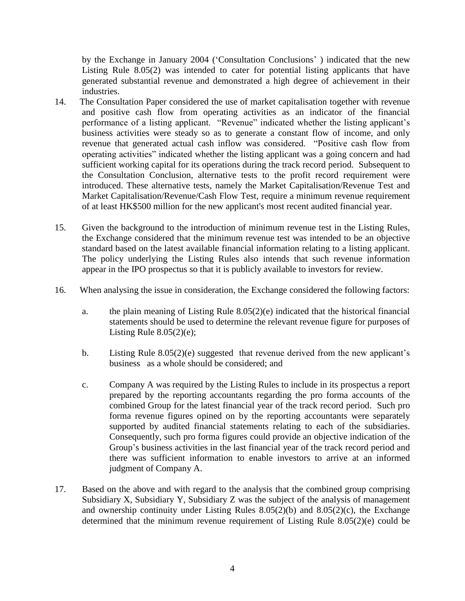by the Exchange in January 2004 ('Consultation Conclusions' ) indicated that the new Listing Rule 8.05(2) was intended to cater for potential listing applicants that have generated substantial revenue and demonstrated a high degree of achievement in their industries.

- 14. The Consultation Paper considered the use of market capitalisation together with revenue and positive cash flow from operating activities as an indicator of the financial performance of a listing applicant. "Revenue" indicated whether the listing applicant's business activities were steady so as to generate a constant flow of income, and only revenue that generated actual cash inflow was considered. "Positive cash flow from operating activities" indicated whether the listing applicant was a going concern and had sufficient working capital for its operations during the track record period. Subsequent to the Consultation Conclusion, alternative tests to the profit record requirement were introduced. These alternative tests, namely the Market Capitalisation/Revenue Test and Market Capitalisation/Revenue/Cash Flow Test, require a minimum revenue requirement of at least HK\$500 million for the new applicant's most recent audited financial year.
- 15. Given the background to the introduction of minimum revenue test in the Listing Rules, the Exchange considered that the minimum revenue test was intended to be an objective standard based on the latest available financial information relating to a listing applicant. The policy underlying the Listing Rules also intends that such revenue information appear in the IPO prospectus so that it is publicly available to investors for review.
- 16. When analysing the issue in consideration, the Exchange considered the following factors:
	- a. the plain meaning of Listing Rule 8.05(2)(e) indicated that the historical financial statements should be used to determine the relevant revenue figure for purposes of Listing Rule  $8.05(2)(e)$ ;
	- b. Listing Rule 8.05(2)(e) suggested that revenue derived from the new applicant's business as a whole should be considered; and
	- c. Company A was required by the Listing Rules to include in its prospectus a report prepared by the reporting accountants regarding the pro forma accounts of the combined Group for the latest financial year of the track record period. Such pro forma revenue figures opined on by the reporting accountants were separately supported by audited financial statements relating to each of the subsidiaries. Consequently, such pro forma figures could provide an objective indication of the Group's business activities in the last financial year of the track record period and there was sufficient information to enable investors to arrive at an informed judgment of Company A.
- 17. Based on the above and with regard to the analysis that the combined group comprising Subsidiary X, Subsidiary Y, Subsidiary Z was the subject of the analysis of management and ownership continuity under Listing Rules  $8.05(2)(b)$  and  $8.05(2)(c)$ , the Exchange determined that the minimum revenue requirement of Listing Rule 8.05(2)(e) could be